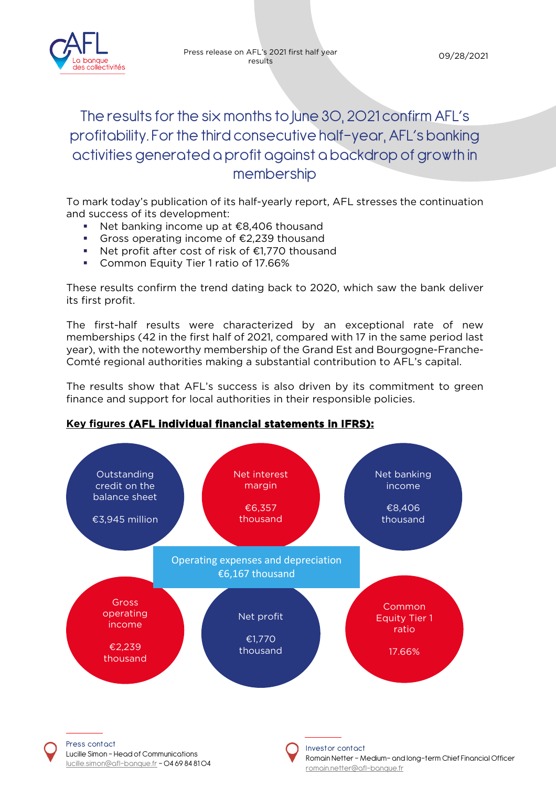

# The results for the six months to June 30, 2021 confirm AFL's profitability. For the third consecutive half-year, AFL's banking activities generated a profit against a backdrop of growth in membership

To mark today's publication of its half-yearly report, AFL stresses the continuation and success of its development:

- Net banking income up at €8,406 thousand
- Gross operating income of €2,239 thousand
- Net profit after cost of risk of €1,770 thousand
- **Common Equity Tier 1 ratio of 17.66%**

[lucille.simon@afl-banque.fr](mailto:lucille.simon@afl-banque.fr) - 04 69 84 81 04

These results confirm the trend dating back to 2020, which saw the bank deliver its first profit.

The first-half results were characterized by an exceptional rate of new memberships (42 in the first half of 2021, compared with 17 in the same period last year), with the noteworthy membership of the Grand Est and Bourgogne-Franche-Comté regional authorities making a substantial contribution to AFL's capital.

The results show that AFL's success is also driven by its commitment to green finance and support for local authorities in their responsible policies.

## **Key figures (AFL individual financial statements in IFRS):**



Romain Netter – Medium- and long-term Chief Financial Officer romain.netter@afl-banque.fr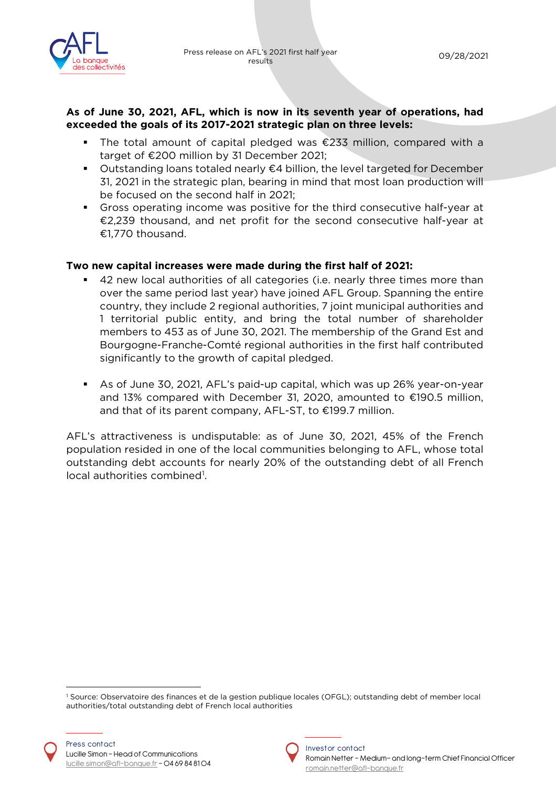

#### **As of June 30, 2021, AFL, which is now in its seventh year of operations, had exceeded the goals of its 2017-2021 strategic plan on three levels:**

- The total amount of capital pledged was €233 million, compared with a target of €200 million by 31 December 2021;
- Outstanding loans totaled nearly  $€4$  billion, the level targeted for December 31, 2021 in the strategic plan, bearing in mind that most loan production will be focused on the second half in 2021;
- Gross operating income was positive for the third consecutive half-year at €2,239 thousand, and net profit for the second consecutive half-year at €1,770 thousand.

#### **Two new capital increases were made during the first half of 2021:**

- 42 new local authorities of all categories (i.e. nearly three times more than over the same period last year) have joined AFL Group. Spanning the entire country, they include 2 regional authorities, 7 joint municipal authorities and 1 territorial public entity, and bring the total number of shareholder members to 453 as of June 30, 2021. The membership of the Grand Est and Bourgogne-Franche-Comté regional authorities in the first half contributed significantly to the growth of capital pledged.
- As of June 30, 2021, AFL's paid-up capital, which was up 26% year-on-year and 13% compared with December 31, 2020, amounted to €190.5 million, and that of its parent company, AFL-ST, to €199.7 million.

AFL's attractiveness is undisputable: as of June 30, 2021, 45% of the French population resided in one of the local communities belonging to AFL, whose total outstanding debt accounts for nearly 20% of the outstanding debt of all French local authorities combined<sup>[1](#page-1-0)</sup>.



<span id="page-1-0"></span><sup>1</sup> Source: Observatoire des finances et de la gestion publique locales (OFGL); outstanding debt of member local authorities/total outstanding debt of French local authorities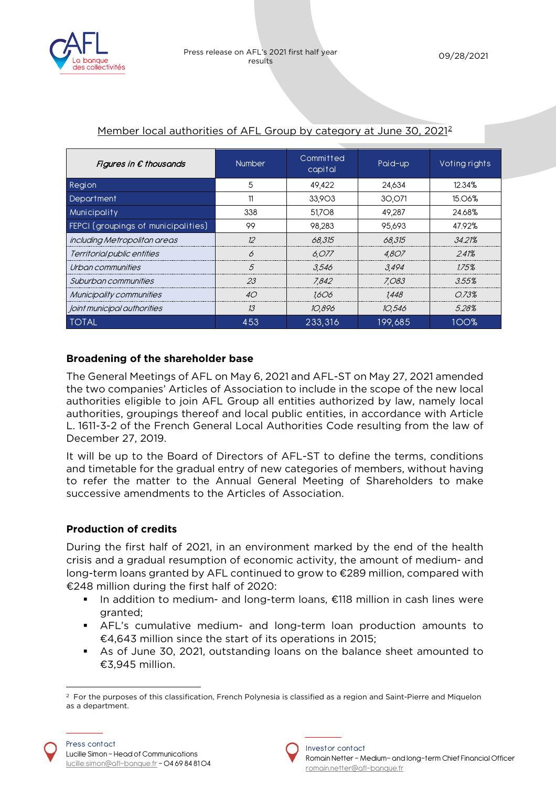

| Figures in $\epsilon$ thousands     | <b>Number</b> | Committed<br>capital | Paid-up | Voting rights |
|-------------------------------------|---------------|----------------------|---------|---------------|
| Region                              | 5             | 49,422               | 24,634  | 12.34%        |
| Department                          | 11            | 33,903               | 30,071  | 15.06%        |
| Municipality                        | 338           | 51,708               | 49,287  | 24.68%        |
| FEPCI (groupings of municipalities) | 99            | 98.283               | 95.693  | 47.92%        |
| including Metropolitan areas        | 12            | 68,315               | 68,315  | 34.21%        |
| Territorial public entities         | B             | 6,077                | 4.807   | 241%          |
| Urbon communities                   | .5            | 3.546                | 3.494   | 175%          |
| Suburbon communities                | 23            | 7.842                | 7.083   | 3.55%         |
| Municipality communities            | 40            | 1.606                | 1.448   | O73%          |
| Joint municipal authorities         | 13            | 10.896               | 10,546  | 528%          |
| <b>TOTAL</b>                        | 453           | 233.316              | 199.685 | 100%          |

## Member local authorities of AFL Group by category at June 30, [2](#page-2-0)021<sup>2</sup>

### **Broadening of the shareholder base**

The General Meetings of AFL on May 6, 2021 and AFL-ST on May 27, 2021 amended the two companies' Articles of Association to include in the scope of the new local authorities eligible to join AFL Group all entities authorized by law, namely local authorities, groupings thereof and local public entities, in accordance with Article L. 1611-3-2 of the French General Local Authorities Code resulting from the law of December 27, 2019.

It will be up to the Board of Directors of AFL-ST to define the terms, conditions and timetable for the gradual entry of new categories of members, without having to refer the matter to the Annual General Meeting of Shareholders to make successive amendments to the Articles of Association.

### **Production of credits**

During the first half of 2021, in an environment marked by the end of the health crisis and a gradual resumption of economic activity, the amount of medium- and long-term loans granted by AFL continued to grow to €289 million, compared with €248 million during the first half of 2020:

- In addition to medium- and long-term loans, €118 million in cash lines were granted;
- AFL's cumulative medium- and long-term loan production amounts to €4,643 million since the start of its operations in 2015;
- As of June 30, 2021, outstanding loans on the balance sheet amounted to €3,945 million.



<span id="page-2-0"></span><sup>&</sup>lt;sup>2</sup> For the purposes of this classification, French Polynesia is classified as a region and Saint-Pierre and Miquelon as a department.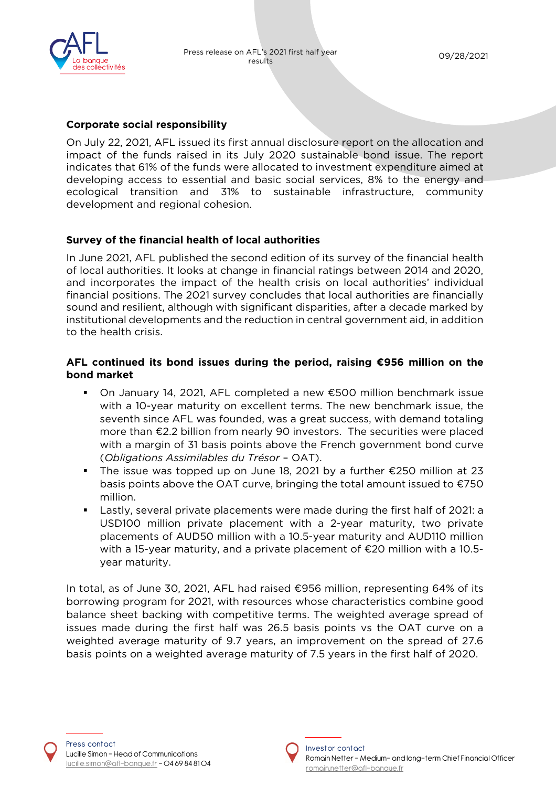

#### **Corporate social responsibility**

On July 22, 2021, AFL issued its first annual disclosure report on the allocation and impact of the funds raised in its July 2020 sustainable bond issue. The report indicates that 61% of the funds were allocated to investment expenditure aimed at developing access to essential and basic social services, 8% to the energy and ecological transition and 31% to sustainable infrastructure, community development and regional cohesion.

### **Survey of the financial health of local authorities**

In June 2021, AFL published the second edition of its survey of the financial health of local authorities. It looks at change in financial ratings between 2014 and 2020, and incorporates the impact of the health crisis on local authorities' individual financial positions. The 2021 survey concludes that local authorities are financially sound and resilient, although with significant disparities, after a decade marked by institutional developments and the reduction in central government aid, in addition to the health crisis.

#### **AFL continued its bond issues during the period, raising €956 million on the bond market**

- On January 14, 2021, AFL completed a new €500 million benchmark issue with a 10-year maturity on excellent terms. The new benchmark issue, the seventh since AFL was founded, was a great success, with demand totaling more than €2.2 billion from nearly 90 investors. The securities were placed with a margin of 31 basis points above the French government bond curve (*Obligations Assimilables du Trésor* – OAT).
- The issue was topped up on June 18, 2021 by a further €250 million at 23 basis points above the OAT curve, bringing the total amount issued to €750 million.
- Lastly, several private placements were made during the first half of 2021: a USD100 million private placement with a 2-year maturity, two private placements of AUD50 million with a 10.5-year maturity and AUD110 million with a 15-year maturity, and a private placement of €20 million with a 10.5 year maturity.

In total, as of June 30, 2021, AFL had raised €956 million, representing 64% of its borrowing program for 2021, with resources whose characteristics combine good balance sheet backing with competitive terms. The weighted average spread of issues made during the first half was 26.5 basis points vs the OAT curve on a weighted average maturity of 9.7 years, an improvement on the spread of 27.6 basis points on a weighted average maturity of 7.5 years in the first half of 2020.

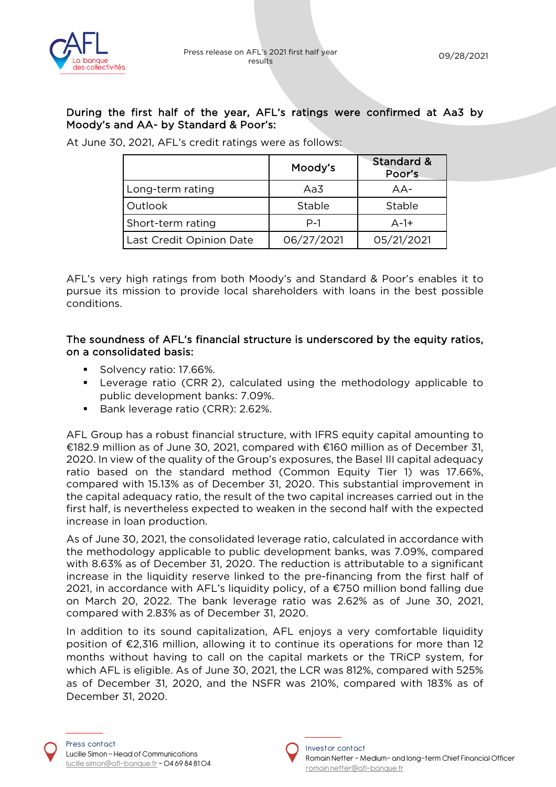

#### During the first half of the year, AFL's ratings were confirmed at Aa3 by Moody's and AA- by Standard & Poor's:

|                          | Moody's    | Standard &<br>Poor's |
|--------------------------|------------|----------------------|
| Long-term rating         | Aa3        | $AA-$                |
| Outlook                  | Stable     | Stable               |
| Short-term rating        | $P-1$      | $A-1+$               |
| Last Credit Opinion Date | 06/27/2021 | 05/21/2021           |

At June 30, 2021, AFL's credit ratings were as follows:

AFL's very high ratings from both Moody's and Standard & Poor's enables it to pursue its mission to provide local shareholders with loans in the best possible conditions.

#### The soundness of AFL's financial structure is underscored by the equity ratios, on a consolidated basis:

- Solvency ratio: 17.66%.
- Leverage ratio (CRR 2), calculated using the methodology applicable to public development banks: 7.09%.
- Bank leverage ratio (CRR): 2.62%.

AFL Group has a robust financial structure, with IFRS equity capital amounting to €182.9 million as of June 30, 2021, compared with €160 million as of December 31, 2020. In view of the quality of the Group's exposures, the Basel III capital adequacy ratio based on the standard method (Common Equity Tier 1) was 17.66%, compared with 15.13% as of December 31, 2020. This substantial improvement in the capital adequacy ratio, the result of the two capital increases carried out in the first half, is nevertheless expected to weaken in the second half with the expected increase in loan production.

As of June 30, 2021, the consolidated leverage ratio, calculated in accordance with the methodology applicable to public development banks, was 7.09%, compared with 8.63% as of December 31, 2020. The reduction is attributable to a significant increase in the liquidity reserve linked to the pre-financing from the first half of 2021, in accordance with AFL's liquidity policy, of a  $\epsilon$ 750 million bond falling due on March 20, 2022. The bank leverage ratio was 2.62% as of June 30, 2021, compared with 2.83% as of December 31, 2020.

In addition to its sound capitalization, AFL enjoys a very comfortable liquidity position of €2,316 million, allowing it to continue its operations for more than 12 months without having to call on the capital markets or the TRiCP system, for which AFL is eligible. As of June 30, 2021, the LCR was 812%, compared with 525% as of December 31, 2020, and the NSFR was 210%, compared with 183% as of December 31, 2020.

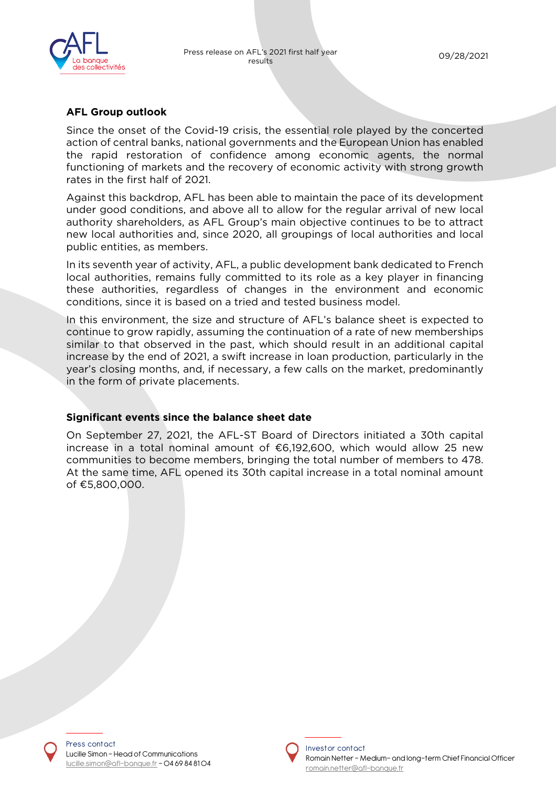

#### **AFL Group outlook**

Since the onset of the Covid-19 crisis, the essential role played by the concerted action of central banks, national governments and the European Union has enabled the rapid restoration of confidence among economic agents, the normal functioning of markets and the recovery of economic activity with strong growth rates in the first half of 2021.

Against this backdrop, AFL has been able to maintain the pace of its development under good conditions, and above all to allow for the regular arrival of new local authority shareholders, as AFL Group's main objective continues to be to attract new local authorities and, since 2020, all groupings of local authorities and local public entities, as members.

In its seventh year of activity, AFL, a public development bank dedicated to French local authorities, remains fully committed to its role as a key player in financing these authorities, regardless of changes in the environment and economic conditions, since it is based on a tried and tested business model.

In this environment, the size and structure of AFL's balance sheet is expected to continue to grow rapidly, assuming the continuation of a rate of new memberships similar to that observed in the past, which should result in an additional capital increase by the end of 2021, a swift increase in loan production, particularly in the year's closing months, and, if necessary, a few calls on the market, predominantly in the form of private placements.

#### **Significant events since the balance sheet date**

On September 27, 2021, the AFL-ST Board of Directors initiated a 30th capital increase in a total nominal amount of €6,192,600, which would allow 25 new communities to become members, bringing the total number of members to 478. At the same time, AFL opened its 30th capital increase in a total nominal amount of €5,800,000.

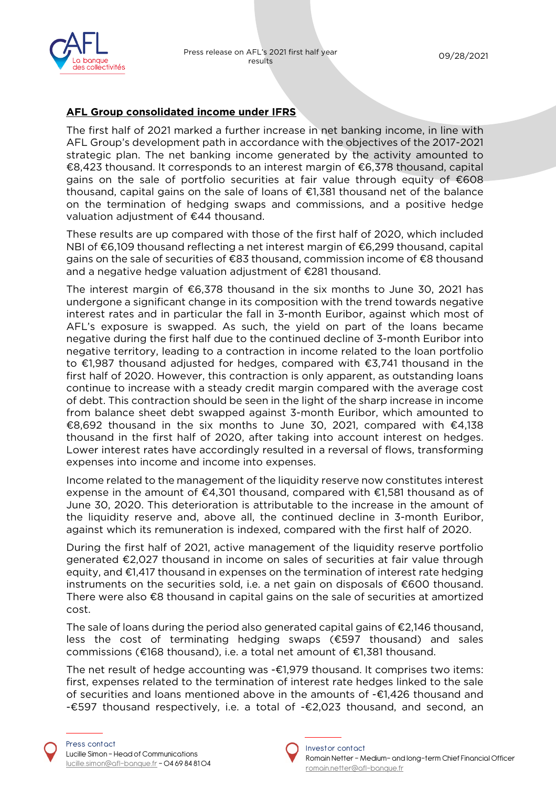

## **AFL Group consolidated income under IFRS**

The first half of 2021 marked a further increase in net banking income, in line with AFL Group's development path in accordance with the objectives of the 2017-2021 strategic plan. The net banking income generated by the activity amounted to €8,423 thousand. It corresponds to an interest margin of €6,378 thousand, capital gains on the sale of portfolio securities at fair value through equity of €608 thousand, capital gains on the sale of loans of €1,381 thousand net of the balance on the termination of hedging swaps and commissions, and a positive hedge valuation adjustment of €44 thousand.

These results are up compared with those of the first half of 2020, which included NBI of €6,109 thousand reflecting a net interest margin of €6,299 thousand, capital gains on the sale of securities of €83 thousand, commission income of €8 thousand and a negative hedge valuation adjustment of €281 thousand.

The interest margin of €6,378 thousand in the six months to June 30, 2021 has undergone a significant change in its composition with the trend towards negative interest rates and in particular the fall in 3-month Euribor, against which most of AFL's exposure is swapped. As such, the yield on part of the loans became negative during the first half due to the continued decline of 3-month Euribor into negative territory, leading to a contraction in income related to the loan portfolio to €1,987 thousand adjusted for hedges, compared with €3,741 thousand in the first half of 2020. However, this contraction is only apparent, as outstanding loans continue to increase with a steady credit margin compared with the average cost of debt. This contraction should be seen in the light of the sharp increase in income from balance sheet debt swapped against 3-month Euribor, which amounted to €8,692 thousand in the six months to June 30, 2021, compared with  $€4,138$ thousand in the first half of 2020, after taking into account interest on hedges. Lower interest rates have accordingly resulted in a reversal of flows, transforming expenses into income and income into expenses.

Income related to the management of the liquidity reserve now constitutes interest expense in the amount of €4,301 thousand, compared with €1,581 thousand as of June 30, 2020. This deterioration is attributable to the increase in the amount of the liquidity reserve and, above all, the continued decline in 3-month Euribor, against which its remuneration is indexed, compared with the first half of 2020.

During the first half of 2021, active management of the liquidity reserve portfolio generated €2,027 thousand in income on sales of securities at fair value through equity, and €1,417 thousand in expenses on the termination of interest rate hedging instruments on the securities sold, i.e. a net gain on disposals of €600 thousand. There were also  $\epsilon$ 8 thousand in capital gains on the sale of securities at amortized cost.

The sale of loans during the period also generated capital gains of €2,146 thousand, less the cost of terminating hedging swaps (€597 thousand) and sales commissions (€168 thousand), i.e. a total net amount of €1,381 thousand.

The net result of hedge accounting was  $-\epsilon$ 1,979 thousand. It comprises two items: first, expenses related to the termination of interest rate hedges linked to the sale of securities and loans mentioned above in the amounts of -€1,426 thousand and -€597 thousand respectively, i.e. a total of -€2,023 thousand, and second, an

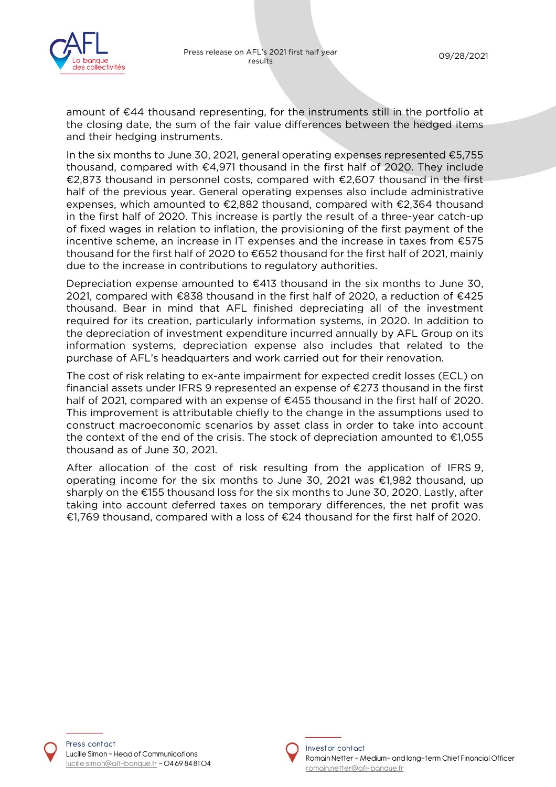

amount of €44 thousand representing, for the instruments still in the portfolio at the closing date, the sum of the fair value differences between the hedged items and their hedging instruments.

In the six months to June 30, 2021, general operating expenses represented €5,755 thousand, compared with €4,971 thousand in the first half of 2020. They include €2,873 thousand in personnel costs, compared with €2,607 thousand in the first half of the previous year. General operating expenses also include administrative expenses, which amounted to €2,882 thousand, compared with €2,364 thousand in the first half of 2020. This increase is partly the result of a three-year catch-up of fixed wages in relation to inflation, the provisioning of the first payment of the incentive scheme, an increase in IT expenses and the increase in taxes from €575 thousand for the first half of 2020 to €652 thousand for the first half of 2021, mainly due to the increase in contributions to regulatory authorities.

Depreciation expense amounted to €413 thousand in the six months to June 30, 2021, compared with €838 thousand in the first half of 2020, a reduction of €425 thousand. Bear in mind that AFL finished depreciating all of the investment required for its creation, particularly information systems, in 2020. In addition to the depreciation of investment expenditure incurred annually by AFL Group on its information systems, depreciation expense also includes that related to the purchase of AFL's headquarters and work carried out for their renovation.

The cost of risk relating to ex-ante impairment for expected credit losses (ECL) on financial assets under IFRS 9 represented an expense of €273 thousand in the first half of 2021, compared with an expense of €455 thousand in the first half of 2020. This improvement is attributable chiefly to the change in the assumptions used to construct macroeconomic scenarios by asset class in order to take into account the context of the end of the crisis. The stock of depreciation amounted to  $\epsilon$ 1,055 thousand as of June 30, 2021.

After allocation of the cost of risk resulting from the application of IFRS 9, operating income for the six months to June 30, 2021 was €1,982 thousand, up sharply on the €155 thousand loss for the six months to June 30, 2020. Lastly, after taking into account deferred taxes on temporary differences, the net profit was €1,769 thousand, compared with a loss of €24 thousand for the first half of 2020.



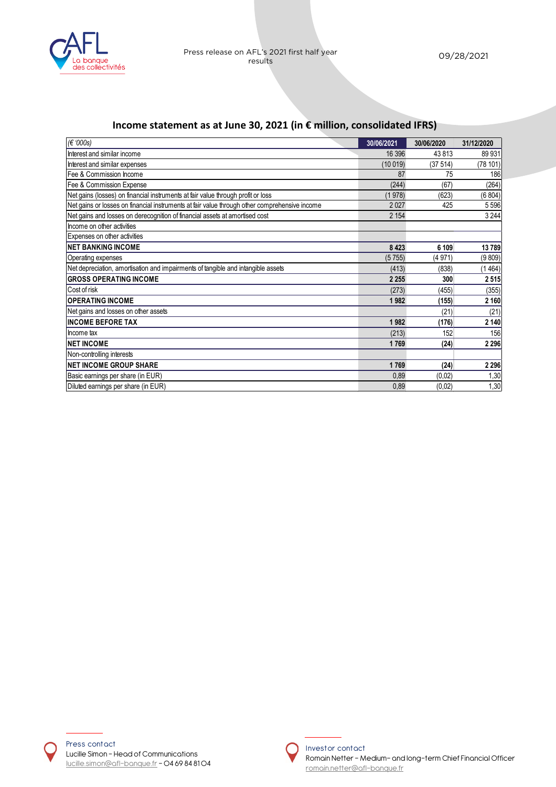

## **Income statement as at June 30, 2021 (in € million, consolidated IFRS)**

| (€ '000s)                                                                                     | 30/06/2021 | 30/06/2020 | 31/12/2020 |
|-----------------------------------------------------------------------------------------------|------------|------------|------------|
| Interest and similar income                                                                   | 16 39 6    | 43813      | 89 931     |
| Interest and similar expenses                                                                 | (10019)    | (37514)    | (78101)    |
| <b>IFee &amp; Commission Income</b>                                                           | 87         | 75         | 186        |
| Fee & Commission Expense                                                                      | (244)      | (67)       | (264)      |
| Net gains (losses) on financial instruments at fair value through profit or loss              | (1978)     | (623)      | (6 804)    |
| Net gains or losses on financial instruments at fair value through other comprehensive income | 2027       | 425        | 5 5 9 6    |
| Net gains and losses on derecognition of financial assets at amortised cost                   | 2 1 5 4    |            | 3 2 4 4    |
| Income on other activities                                                                    |            |            |            |
| Expenses on other activities                                                                  |            |            |            |
| <b>INET BANKING INCOME</b>                                                                    | 8 4 2 3    | 6 109      | 13789      |
| Operating expenses                                                                            | (5755)     | (4971)     | (9 809)    |
| Net depreciation, amortisation and impairments of tangible and intangible assets              | (413)      | (838)      | (1464)     |
| <b>IGROSS OPERATING INCOME</b>                                                                | 2 2 5 5    | 300        | 2515       |
| Cost of risk                                                                                  | (273)      | (455)      | (355)      |
| <b>IOPERATING INCOME</b>                                                                      | 1982       | (155)      | 2 1 6 0    |
| Net gains and losses on other assets                                                          |            | (21)       | (21)       |
| <b>IINCOME BEFORE TAX</b>                                                                     | 1982       | (176)      | 2 140      |
| Income tax                                                                                    | (213)      | 152        | 156        |
| <b>INET INCOME</b>                                                                            | 1769       | (24)       | 2 2 9 6    |
| Non-controlling interests                                                                     |            |            |            |
| <b>NET INCOME GROUP SHARE</b>                                                                 | 1769       | (24)       | 2 2 9 6    |
| Basic earnings per share (in EUR)                                                             | 0,89       | (0,02)     | 1,30       |
| Diluted earnings per share (in EUR)                                                           | 0,89       | (0,02)     | 1,30       |



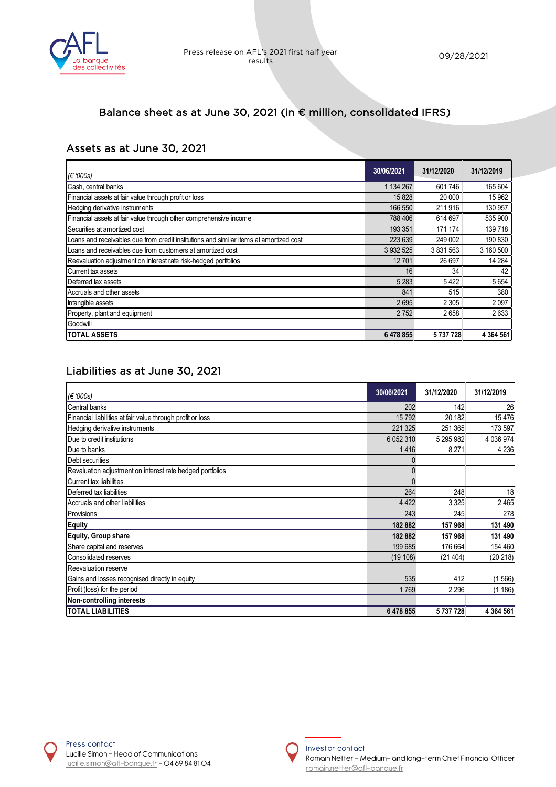

# Balance sheet as at June 30, 2021 (in € million, consolidated IFRS)

## Assets as at June 30, 2021

| $\mathcal{E}(6.000s)$                                                                  | 30/06/2021    | 31/12/2020 | 31/12/2019    |
|----------------------------------------------------------------------------------------|---------------|------------|---------------|
| Cash, central banks                                                                    | 1 134 267     | 601 746    | 165 604       |
| Financial assets at fair value through profit or loss                                  | 15828         | 20 000     | 15 962        |
| Hedging derivative instruments                                                         | 166 550       | 211 916    | 130 957       |
| Financial assets at fair value through other comprehensive income                      | 788 406       | 614 697    | 535 900       |
| <b>I</b> Securities at amortized cost                                                  | 193 351       | 171 174    | 139 718       |
| Loans and receivables due from credit institutions and similar items at amortized cost | 223 639       | 249 002    | 190 830       |
| Loans and receivables due from customers at amortized cost                             | 3 9 3 2 5 2 5 | 3 831 563  | 3 160 500     |
| Reevaluation adjustment on interest rate risk-hedged portfolios                        | 12 701        | 26 697     | 14 284        |
| Current tax assets                                                                     | 16            | 34         | 42            |
| Deferred tax assets                                                                    | 5 2 8 3       | 5422       | 5 6 5 4       |
| Accruals and other assets                                                              | 841           | 515        | 380           |
| Intangible assets                                                                      | 2695          | 2 3 0 5    | 2097          |
| Property, plant and equipment                                                          | 2752          | 2658       | 2633          |
| Goodwill                                                                               |               |            |               |
| <b>TOTAL ASSETS</b>                                                                    | 6 478 855     | 5737728    | 4 3 6 4 5 6 1 |

## Liabilities as at June 30, 2021

| (€ '000s)                                                  | 30/06/2021    | 31/12/2020 | 31/12/2019    |
|------------------------------------------------------------|---------------|------------|---------------|
| Central banks                                              | 202           | 142        | 26            |
| Financial liabilities at fair value through profit or loss | 15792         | 20 182     | 15 4 76       |
| Hedging derivative instruments                             | 221 325       | 251 365    | 173 597       |
| Due to credit institutions                                 | 6 0 5 2 3 1 0 | 5 295 982  | 4 0 3 6 9 7 4 |
| Due to banks                                               | 1416          | 8 2 7 1    | 4 2 3 6       |
| Debt securities                                            |               |            |               |
| Revaluation adjustment on interest rate hedged portfolios  | $\mathbf{0}$  |            |               |
| <b>I</b> Current tax liabilities                           | $\Omega$      |            |               |
| Deferred tax liabilities                                   | 264           | 248        | 18            |
| Accruals and other liabilities                             | 4 4 2 2       | 3 3 2 5    | 2 4 6 5       |
| Provisions                                                 | 243           | 245        | 278           |
| <b>Equity</b>                                              | 182882        | 157 968    | 131 490       |
| Equity, Group share                                        | 182882        | 157 968    | 131 490       |
| Share capital and reserves                                 | 199 685       | 176 664    | 154 460       |
| Consolidated reserves                                      | (19 108)      | (21404)    | (20 218)      |
| Reevaluation reserve                                       |               |            |               |
| Gains and losses recognised directly in equity             | 535           | 412        | 566)<br>11    |
| Profit (loss) for the period                               | 1769          | 2 2 9 6    | (1186)        |
| Non-controlling interests                                  |               |            |               |
| <b>TOTAL LIABILITIES</b>                                   | 6478855       | 5737728    | 4 3 6 4 5 6 1 |